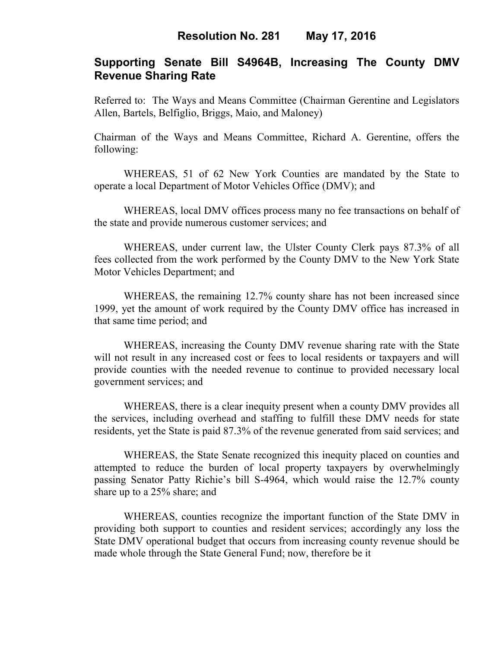# **Supporting Senate Bill S4964B, Increasing The County DMV Revenue Sharing Rate**

Referred to: The Ways and Means Committee (Chairman Gerentine and Legislators Allen, Bartels, Belfiglio, Briggs, Maio, and Maloney)

Chairman of the Ways and Means Committee, Richard A. Gerentine, offers the following:

 WHEREAS, 51 of 62 New York Counties are mandated by the State to operate a local Department of Motor Vehicles Office (DMV); and

 WHEREAS, local DMV offices process many no fee transactions on behalf of the state and provide numerous customer services; and

 WHEREAS, under current law, the Ulster County Clerk pays 87.3% of all fees collected from the work performed by the County DMV to the New York State Motor Vehicles Department; and

 WHEREAS, the remaining 12.7% county share has not been increased since 1999, yet the amount of work required by the County DMV office has increased in that same time period; and

 WHEREAS, increasing the County DMV revenue sharing rate with the State will not result in any increased cost or fees to local residents or taxpayers and will provide counties with the needed revenue to continue to provided necessary local government services; and

 WHEREAS, there is a clear inequity present when a county DMV provides all the services, including overhead and staffing to fulfill these DMV needs for state residents, yet the State is paid 87.3% of the revenue generated from said services; and

 WHEREAS, the State Senate recognized this inequity placed on counties and attempted to reduce the burden of local property taxpayers by overwhelmingly passing Senator Patty Richie's bill S-4964, which would raise the 12.7% county share up to a 25% share; and

 WHEREAS, counties recognize the important function of the State DMV in providing both support to counties and resident services; accordingly any loss the State DMV operational budget that occurs from increasing county revenue should be made whole through the State General Fund; now, therefore be it